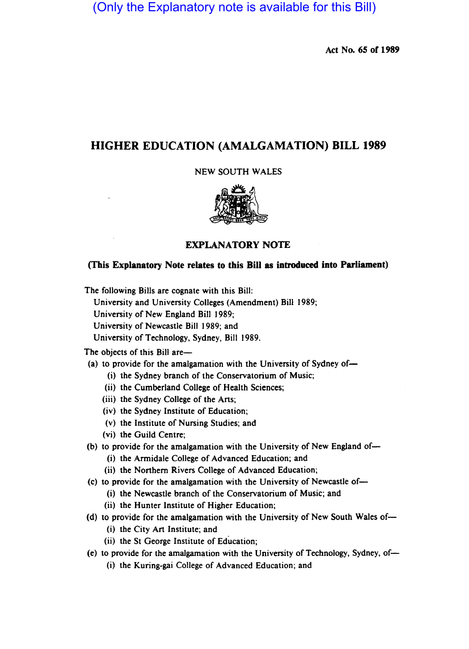(Only the Explanatory note is available for this Bill)

Act No. 65 of 1989

# HIGHER EDUCATION (AMALGAMATION) BILL 1989

# NEW SOUTH WALES



# EXPLANATORY NOTE

# (This Explanatory Note relates to this Bill as introduced into Parliament)

The following Bills are cognate with this Bill:

University and University Colleges (Amendment) Bill 1989;

University of New England Bill 1989;

University of Newcastle Bill 1989; and

University of Technology, Sydney, Bill 1989.

The objects of this Bill are-

(a) to provide for the amalgamation with the University of Sydney of-

(i) the Sydney branch of the Conservatorium of Music;

- (ii) the Cumberland College of Health Sciences;
- (iii) the Sydney College of the Arts;
- (iv) the Sydney Institute of Education;
- (v) the Institute of Nursing Studies; and
- (vi) the Guild Centre;
- (b) to provide for the amalgamation with the University of New England of- $\rightarrow$ 
	- (i) the Armidale College of Advanced Education; and
	- (ii) the Northern Rivers College of Advanced Education;
- (c) to provide for the amalgamation with the University of Newcastle of-
	- (i) the Newcastle branch of the Conservatorium of Music; and
	- (ii) the Hunter Institute of Higher Education;
- (d) to provide for the amalgamation with the University of New South Wales of-
	- (i) the City Art Institute; and
	- (ii) the St George Institute of Education;
- (e) to provide for the amalgamation with the University of Technology, Sydney, of-
	- (i) the Kuring-gai College of Advanced Education; and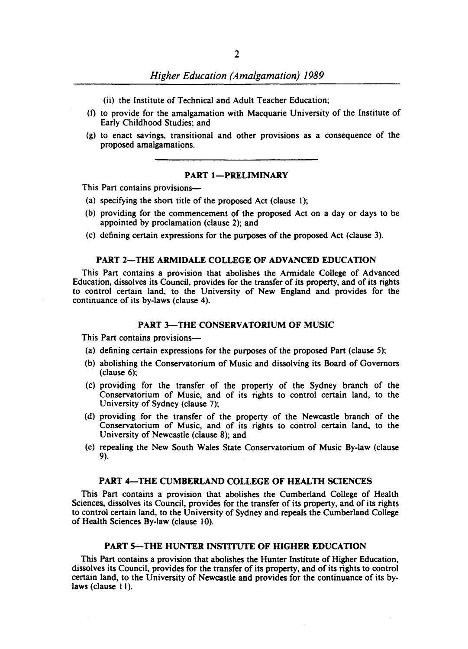- (ii) the Institute of Technical and Adult Teacher Education;
- (f) to provide for the amalgamation with Macquarie University of the Institute of Early Childhood Studies: and
- (g) to enact savings. transitional and other provisions as a consequence of the proposed amalgamations.

## PART 1-PRELIMINARY

This Part contains provisions-

- (a) specifying the short title of the proposed Act (clause 1);
- (b) providing for the commencement of the proposed Act on a day or days to be appointed by proclamation (clause 2); and
- (c) defining certain expressions for the purposes of the proposed Act (clause 3).

#### PART 2-THE ARMIDALE COLLEGE OF ADVANCED EDUCATION

This Part contains a provision that abolishes the Armidale College of Advanced Education. dissolves its Council, provides for the transfer of its property, and of its rights to control certain land, to the University of New England and provides for the continuance of its by-laws (clause 4).

## PART 3-THE CONSERVATORIUM OF MUSIC

This Part contains provisions-

- (a) defining certain expressions for the purposes of the proposed Part (clause 5);
- (b) abolishing the Conservatorium of Music and dissolving its Board of Governors (clause 6);
- (c) providing for the transfer of the property of the Sydney branch of the Conservatorium of Music, and of its rights to control certain land, to the University of Sydney (clause 7);
- (d) providing for the transfer of the property of the Newcastle branch of the Conservatorium of Music, and of its rights to control certain land, to the University of Newcastle (clause 8); and
- (e) repealing the New South Wales State Conservatorium of Music By-law (clause 9).

#### PART 4-THE CUMBERLAND COLLEGE OF HEALTH SCIENCES

This Part contains a provision that abolishes the Cumberland College of Health Sciences, dissolves its Council, provides for the transfer of its property, and of its rights to control certain land, to the University of Sydney and repeals the Cumberland College of Health Sciences By-law (clause 10).

## PART 5-THE HUNTER INSTITUTE OF HIGHER EDUCATION

This Part contains a provision that abolishes the Hunter Institute of Higher Education, dissolves its Council, provides for the transfer of its property, and of its rights to control certain land, to the University of Newcastle and provides for the continuance of its bylaws (clause 11).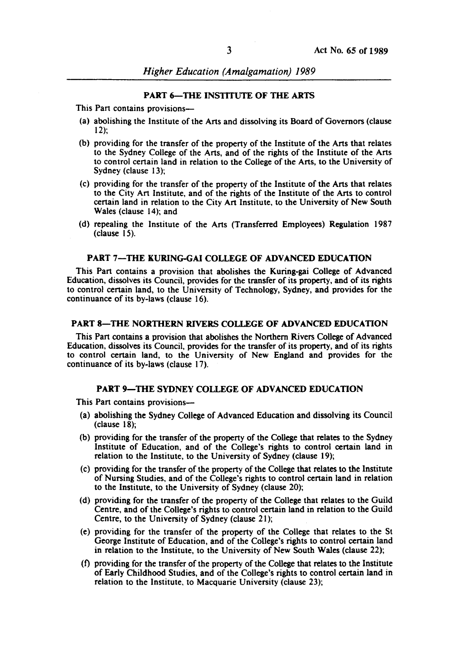*Higher Education (Amalgamation) 1989* 

#### PART 6-THE INSTITUTE OF THE ARTS

This Part contains provisions—

- (a) abolishing the Institute of the Arts and dissolving its Board of Governors (clause 12);
- (b) providing for the transfer of the property of the Institute of the Arts that relates to the Sydney College of the Arts, and of the rights of the Institute of the Arts to control certain land in relation to the College of the Arts, to the University of Sydney (clause 13);
- (c) providing for the transfer of the property of the Institute of the Arts that relates to the City Art Institute, and of the rights of the Institute of the Arts to control certain land in relation to the City Art Institute, to the University of New South Wales (clause 14); and
- (d) repealing the Institute of the Arts (Transferred Employees) Regulation 1987 (clause 15).

#### PART 7-THE KURING-GAI COLLEGE OF ADVANCED EDUCATION

This Part contains a provision that abolishes the Kuring-gai College of Advanced Education, dissolves its Council, provides for the transfer of its property, and of its rights to control certain land, to the University of Technology, Sydney, and provides for the continuance of its by-laws (clause 16).

## PART 8-THE NORTHERN RIVERS COLLEGE OF ADVANCED EDUCATION

This Part contains a provision that abolishes the Northern Rivers College of Advanced Education, dissolves its Council, provides for the transfer of its property, and of its rights to control certain land, to the University of New England and provides for the continuance of its by-laws (clause 17).

#### PART 9-THE SYDNEY COLLEGE OF ADVANCED EDUCATION

This Part contains provisions-

- (a) abolishing the Sydney College of Advanced Education and dissolving its Council (clause 18);
- (b) providing for the transfer of the property of the College that relates to the Sydney Institute of Education, and of the College's rights to control certain land in relation to the Institute, to the University of Sydney (clause 19);
- (c) providing for the transfer of the property of the College that relates to the Institute of Nursing Studies, and of the College's rights to control certain land in relation to the Institute, to the University of Sydney (clause 20);
- (d) providing for the transfer of the property of the College that relates to the Guild Centre, and of the College's rights to control certain land in relation to the Guild Centre, to the University of Sydney (clause 21);
- (e) providing for the transfer of the property of the College that relates to the St George Institute of Education, and of the College's rights to control certain land in relation to the Institute, to the University of New South Wales (clause 22);
- (1) providing for the transfer of the property of the College that relates to the Institute of Early Childhood Studies, and of the College's rights to control certain land in relation to the Institute. to Macquarie University (clause 23);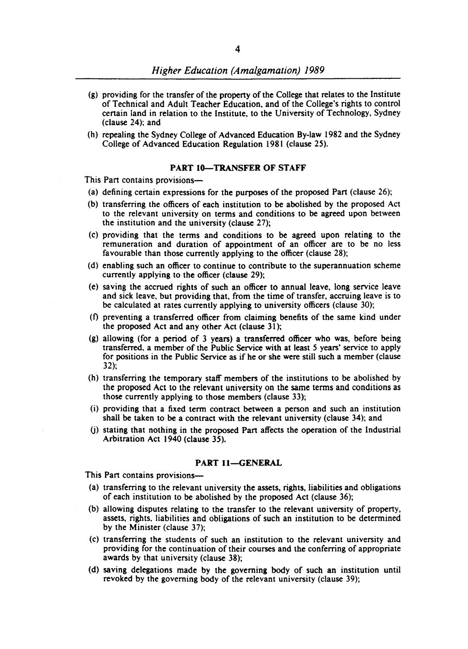- (g) providing for the transfer of the property of the College that relates to the Institute of Technical and Adult Teacher Education, and of the College's rights to control certain land in relation to the Institute, to the University of Technology, Sydney (clause 24): and
- (h) repealing the Sydney College of Advanced Education By-law 1982 and the Sydney College of Advanced Education Regulation 1981 (clause 25).

# PART 10-TRANSFER OF STAFF

This Part contains provisions-

- (a) defining certain expressions for the purposes of the proposed Part (clause 26);
- (b) transferring the officers of each institution to be abolished by the proposed Act to the relevant university on terms and conditions to be agreed upon between the institution and the university (clause 27);
- (c) providing that the terms and conditions to be agreed upon relating to the remuneration and duration of appointment of an officer are to be no less favourable than those currently applying to the officer (clause 28);
- (d) enabling such an officer to continue to contribute to the superannuation scheme currently applying to the officer (clause 29);
- (e) saving the accrued rights of such an officer to annual leave, long service leave and sick leave, but providing that, from the time of transfer, accruing leave is to be calculated at rates currently applying to university officers (clause 30);
- (t) preventing a transferred officer from claiming benefits of the same kind under the proposed Act and any other Act (clause 31);
- (g) allowing (for a period of 3 years) a transferred officer who was, before being transferred. a member of the Public Service with at least 5 years' service to apply for positions in the Public Service as if he or she were still such a member (clause 32);
- (h) transferring the temporary staff members of the institutions to be abolished by the proposed Act to the relevant university on the same terms and conditions as those currently applying to those members (clause 33);
- (i) providing that a fixed term contract between a person and such an institution shall be taken to be a contract with the relevant university (clause 34); and
- (j) stating that nothing in the proposed Part affects the operation of the Industrial Arbitration Act 1940 (clause 35).

## PART 11-GENERAL

This Part contains provisions-

- (a) transferring to the relevant university the assets, rights, liabilities and obligations of each institution to be abolished by the proposed Act (clause 36);
- (b) allowing disputes relating to the transfer to the relevant university of property, assets, rights. liabilities and obligations of such an institution to be determined by the Minister (clause 37);
- (c) transferring the students of such an institution to the relevant university and providing for the continuation of their courses and the conferring of appropriate awards by that university (clause 38);
- (d) saving delegations made by the governing body of such an institution until revoked by the governing body of the relevant university (clause 39);